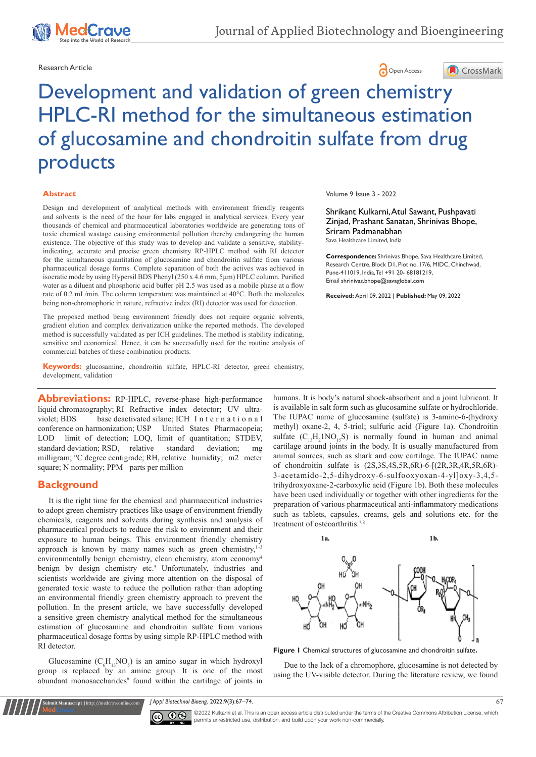

# Research Article **Contracts and Contracts and Contracts and Contracts and Contracts and Contracts and Copen Access**





# Development and validation of green chemistry HPLC-RI method for the simultaneous estimation of glucosamine and chondroitin sulfate from drug products

#### **Abstract**

Design and development of analytical methods with environment friendly reagents and solvents is the need of the hour for labs engaged in analytical services. Every year thousands of chemical and pharmaceutical laboratories worldwide are generating tons of toxic chemical wastage causing environmental pollution thereby endangering the human existence. The objective of this study was to develop and validate a sensitive, stabilityindicating, accurate and precise green chemistry RP-HPLC method with RI detector for the simultaneous quantitation of glucosamine and chondroitin sulfate from various pharmaceutical dosage forms. Complete separation of both the actives was achieved in isocratic mode by using Hypersil BDS Phenyl (250 x 4.6 mm, 5µm) HPLC column. Purified water as a diluent and phosphoric acid buffer pH 2.5 was used as a mobile phase at a flow rate of 0.2 mL/min. The column temperature was maintained at 40°C. Both the molecules being non-chromophoric in nature, refractive index (RI) detector was used for detection.

The proposed method being environment friendly does not require organic solvents, gradient elution and complex derivatization unlike the reported methods. The developed method is successfully validated as per ICH guidelines. The method is stability indicating, sensitive and economical. Hence, it can be successfully used for the routine analysis of commercial batches of these combination products.

**Keywords:** glucosamine, chondroitin sulfate, HPLC-RI detector, green chemistry, development, validation

**Abbreviations:** RP-HPLC, reverse-phase high-performance liquid chromatography; RI Refractive index detector; UV ultraviolet; BDS base deactivated silane; ICH I n t e r n a t i o n a l conference on harmonization; USP United States Pharmacopeia; LOD limit of detection; LOQ, limit of quantitation; STDEV, standard deviation; RSD, relative standard deviation; mg milligram; °C degree centigrade; RH, relative humidity; m2 meter square; N normality; PPM parts per million

# **Background**

It is the right time for the chemical and pharmaceutical industries to adopt green chemistry practices like usage of environment friendly chemicals, reagents and solvents during synthesis and analysis of pharmaceutical products to reduce the risk to environment and their exposure to human beings. This environment friendly chemistry approach is known by many names such as green chemistry, $1-3$ environmentally benign chemistry, clean chemistry, atom economy4 benign by design chemistry etc.<sup>5</sup> Unfortunately, industries and scientists worldwide are giving more attention on the disposal of generated toxic waste to reduce the pollution rather than adopting an environmental friendly green chemistry approach to prevent the pollution. In the present article, we have successfully developed a sensitive green chemistry analytical method for the simultaneous estimation of glucosamine and chondroitin sulfate from various pharmaceutical dosage forms by using simple RP-HPLC method with RI detector.

Glucosamine ( $C_6H_{13}NO_5$ ) is an amino sugar in which hydroxyl group is replaced by an amine group. It is one of the most abundant monosaccharides<sup>6</sup> found within the cartilage of joints in

**it Manuscript** | http://medcraveonline.co

Volume 9 Issue 3 - 2022

Shrikant Kulkarni, Atul Sawant, Pushpavati Zinjad, Prashant Sanatan, Shrinivas Bhope, Sriram Padmanabhan Sava Healthcare Limited, India

**Correspondence:** Shrinivas Bhope, Sava Healthcare Limited, Research Centre, Block D1, Plot no. 17/6, MIDC, Chinchwad, Pune-411019, India, Tel +91 20- 68181219, Email shrinivas.bhope@savaglobal.com

**Received:** April 09, 2022 | **Published:** May 09, 2022

humans. It is body's natural shock-absorbent and a joint lubricant. It is available in salt form such as glucosamine sulfate or hydrochloride. The IUPAC name of glucosamine (sulfate) is 3-amino-6-(hydroxy methyl) oxane-2, 4, 5-triol; sulfuric acid (Figure 1a). Chondroitin sulfate  $(C_{13}H_21NO_{15}S)$  is normally found in human and animal cartilage around joints in the body. It is usually manufactured from animal sources, such as shark and cow cartilage. The IUPAC name of chondroitin sulfate is (2S,3S,4S,5R,6R)-6-[(2R,3R,4R,5R,6R)- 3-acetamido-2,5-dihydroxy-6-sulfooxyoxan-4-yl]oxy-3,4,5 trihydroxyoxane-2-carboxylic acid (Figure 1b). Both these molecules have been used individually or together with other ingredients for the preparation of various pharmaceutical anti-inflammatory medications such as tablets, capsules, creams, gels and solutions etc. for the treatment of osteoarthritis.<sup>7,8</sup>



**Figure 1** Chemical structures of glucosamine and chondroitin sulfate**.**

Due to the lack of a chromophore, glucosamine is not detected by using the UV-visible detector. During the literature review, we found

*J Appl Biotechnol Bioeng.* 2022;9(3):67‒74. 67



©2022 Kulkarni et al. This is an open access article distributed under the terms of the Creative Commons Attribution License, which permits unrestricted use, distribution, and build upon your work non-commercially.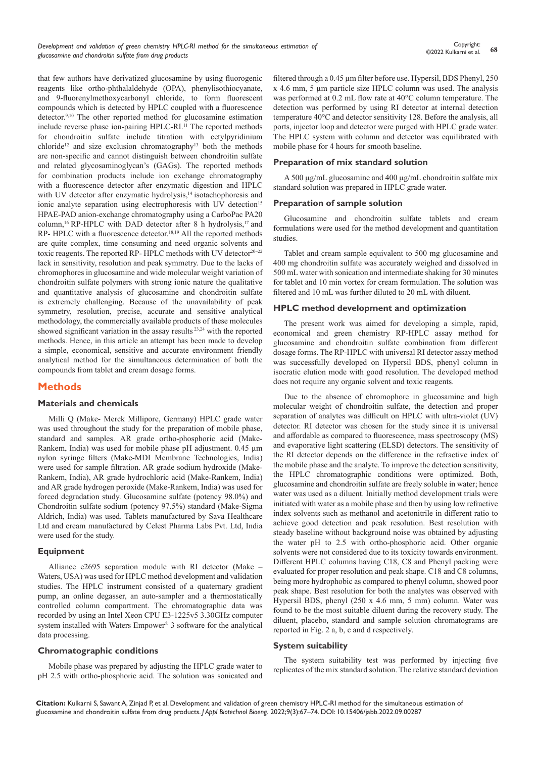that few authors have derivatized glucosamine by using fluorogenic reagents like ortho-phthalaldehyde (OPA), phenylisothiocyanate, and 9-fluorenylmethoxycarbonyl chloride, to form fluorescent compounds which is detected by HPLC coupled with a fluorescence detector.<sup>9,10</sup> The other reported method for glucosamine estimation include reverse phase ion-pairing HPLC-RI.<sup>11</sup> The reported methods for chondroitin sulfate include titration with cetylpyridinium chloride<sup>12</sup> and size exclusion chromatography<sup>13</sup> both the methods are non-specific and cannot distinguish between chondroitin sulfate and related glycosaminoglycan's (GAGs). The reported methods for combination products include ion exchange chromatography with a fluorescence detector after enzymatic digestion and HPLC with UV detector after enzymatic hydrolysis,<sup>14</sup> isotachophoresis and ionic analyte separation using electrophoresis with UV detection<sup>15</sup> HPAE-PAD anion-exchange chromatography using a CarboPac PA20 column,<sup>16</sup> RP-HPLC with DAD detector after 8 h hydrolysis,<sup>17</sup> and RP- HPLC with a fluorescence detector.<sup>18,19</sup> All the reported methods are quite complex, time consuming and need organic solvents and toxic reagents. The reported RP- HPLC methods with UV detector $20-22$ lack in sensitivity, resolution and peak symmetry. Due to the lacks of chromophores in glucosamine and wide molecular weight variation of chondroitin sulfate polymers with strong ionic nature the qualitative and quantitative analysis of glucosamine and chondroitin sulfate is extremely challenging. Because of the unavailability of peak symmetry, resolution, precise, accurate and sensitive analytical methodology, the commercially available products of these molecules showed significant variation in the assay results 23,24 with the reported methods. Hence, in this article an attempt has been made to develop a simple, economical, sensitive and accurate environment friendly analytical method for the simultaneous determination of both the compounds from tablet and cream dosage forms.

# **Methods**

#### **Materials and chemicals**

Milli Q (Make- Merck Millipore, Germany) HPLC grade water was used throughout the study for the preparation of mobile phase, standard and samples. AR grade ortho-phosphoric acid (Make-Rankem, India) was used for mobile phase pH adjustment. 0.45 µm nylon syringe filters (Make-MDI Membrane Technologies, India) were used for sample filtration. AR grade sodium hydroxide (Make-Rankem, India), AR grade hydrochloric acid (Make-Rankem, India) and AR grade hydrogen peroxide (Make-Rankem, India) was used for forced degradation study. Glucosamine sulfate (potency 98.0%) and Chondroitin sulfate sodium (potency 97.5%) standard (Make-Sigma Aldrich, India) was used. Tablets manufactured by Sava Healthcare Ltd and cream manufactured by Celest Pharma Labs Pvt. Ltd, India were used for the study.

# **Equipment**

Alliance e2695 separation module with RI detector (Make – Waters, USA) was used for HPLC method development and validation studies. The HPLC instrument consisted of a quaternary gradient pump, an online degasser, an auto-sampler and a thermostatically controlled column compartment. The chromatographic data was recorded by using an Intel Xeon CPU E3-1225v5 3.30GHz computer system installed with Waters Empower® 3 software for the analytical data processing.

#### **Chromatographic conditions**

Mobile phase was prepared by adjusting the HPLC grade water to pH 2.5 with ortho-phosphoric acid. The solution was sonicated and filtered through a 0.45 um filter before use. Hypersil, BDS Phenyl, 250 x 4.6 mm, 5 µm particle size HPLC column was used. The analysis was performed at 0.2 mL flow rate at 40°C column temperature. The detection was performed by using RI detector at internal detection temperature 40°C and detector sensitivity 128. Before the analysis, all ports, injector loop and detector were purged with HPLC grade water. The HPLC system with column and detector was equilibrated with mobile phase for 4 hours for smooth baseline.

# **Preparation of mix standard solution**

A 500 µg/mL glucosamine and 400 µg/mL chondroitin sulfate mix standard solution was prepared in HPLC grade water.

#### **Preparation of sample solution**

Glucosamine and chondroitin sulfate tablets and cream formulations were used for the method development and quantitation studies.

Tablet and cream sample equivalent to 500 mg glucosamine and 400 mg chondroitin sulfate was accurately weighed and dissolved in 500 mL water with sonication and intermediate shaking for 30 minutes for tablet and 10 min vortex for cream formulation. The solution was filtered and 10 mL was further diluted to 20 mL with diluent.

# **HPLC method development and optimization**

The present work was aimed for developing a simple, rapid, economical and green chemistry RP-HPLC assay method for glucosamine and chondroitin sulfate combination from different dosage forms. The RP-HPLC with universal RI detector assay method was successfully developed on Hypersil BDS, phenyl column in isocratic elution mode with good resolution. The developed method does not require any organic solvent and toxic reagents.

Due to the absence of chromophore in glucosamine and high molecular weight of chondroitin sulfate, the detection and proper separation of analytes was difficult on HPLC with ultra-violet (UV) detector. RI detector was chosen for the study since it is universal and affordable as compared to fluorescence, mass spectroscopy (MS) and evaporative light scattering (ELSD) detectors. The sensitivity of the RI detector depends on the difference in the refractive index of the mobile phase and the analyte. To improve the detection sensitivity, the HPLC chromatographic conditions were optimized. Both, glucosamine and chondroitin sulfate are freely soluble in water; hence water was used as a diluent. Initially method development trials were initiated with water as a mobile phase and then by using low refractive index solvents such as methanol and acetonitrile in different ratio to achieve good detection and peak resolution. Best resolution with steady baseline without background noise was obtained by adjusting the water pH to 2.5 with ortho-phosphoric acid. Other organic solvents were not considered due to its toxicity towards environment. Different HPLC columns having C18, C8 and Phenyl packing were evaluated for proper resolution and peak shape. C18 and C8 columns, being more hydrophobic as compared to phenyl column, showed poor peak shape. Best resolution for both the analytes was observed with Hypersil BDS, phenyl (250 x 4.6 mm, 5 mm) column. Water was found to be the most suitable diluent during the recovery study. The diluent, placebo, standard and sample solution chromatograms are reported in Fig. 2 a, b, c and d respectively.

## **System suitability**

The system suitability test was performed by injecting five replicates of the mix standard solution. The relative standard deviation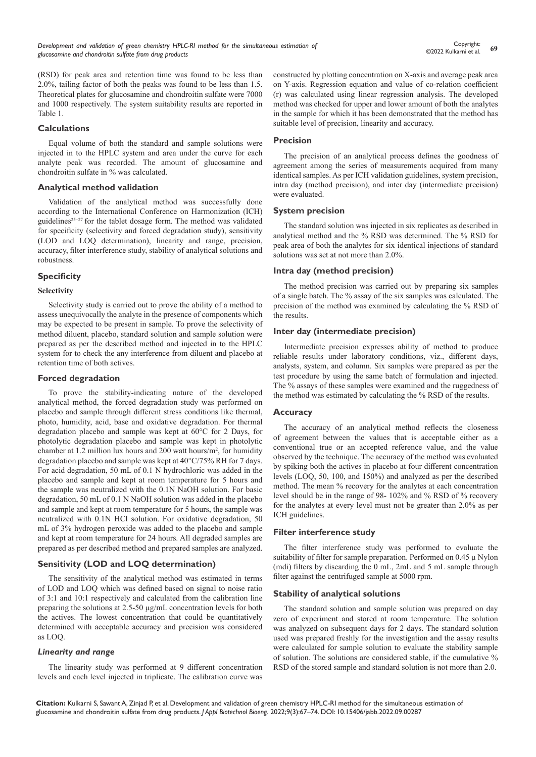(RSD) for peak area and retention time was found to be less than 2.0%, tailing factor of both the peaks was found to be less than 1.5. Theoretical plates for glucosamine and chondroitin sulfate were 7000 and 1000 respectively. The system suitability results are reported in Table 1.

## **Calculations**

Equal volume of both the standard and sample solutions were injected in to the HPLC system and area under the curve for each analyte peak was recorded. The amount of glucosamine and chondroitin sulfate in % was calculated.

## **Analytical method validation**

Validation of the analytical method was successfully done according to the International Conference on Harmonization (ICH) guidelines<sup>25-27</sup> for the tablet dosage form. The method was validated for specificity (selectivity and forced degradation study), sensitivity (LOD and LOQ determination), linearity and range, precision, accuracy, filter interference study, stability of analytical solutions and robustness.

# **Specificity**

# **Selectivity**

Selectivity study is carried out to prove the ability of a method to assess unequivocally the analyte in the presence of components which may be expected to be present in sample. To prove the selectivity of method diluent, placebo, standard solution and sample solution were prepared as per the described method and injected in to the HPLC system for to check the any interference from diluent and placebo at retention time of both actives.

#### **Forced degradation**

To prove the stability-indicating nature of the developed analytical method, the forced degradation study was performed on placebo and sample through different stress conditions like thermal, photo, humidity, acid, base and oxidative degradation. For thermal degradation placebo and sample was kept at 60°C for 2 Days, for photolytic degradation placebo and sample was kept in photolytic chamber at 1.2 million lux hours and 200 watt hours/ $m<sup>2</sup>$ , for humidity degradation placebo and sample was kept at 40°C/75% RH for 7 days. For acid degradation, 50 mL of 0.1 N hydrochloric was added in the placebo and sample and kept at room temperature for 5 hours and the sample was neutralized with the 0.1N NaOH solution. For basic degradation, 50 mL of 0.1 N NaOH solution was added in the placebo and sample and kept at room temperature for 5 hours, the sample was neutralized with 0.1N HCl solution. For oxidative degradation, 50 mL of 3% hydrogen peroxide was added to the placebo and sample and kept at room temperature for 24 hours. All degraded samples are prepared as per described method and prepared samples are analyzed.

# **Sensitivity (LOD and LOQ determination)**

The sensitivity of the analytical method was estimated in terms of LOD and LOQ which was defined based on signal to noise ratio of 3:1 and 10:1 respectively and calculated from the calibration line preparing the solutions at 2.5-50 µg/mL concentration levels for both the actives. The lowest concentration that could be quantitatively determined with acceptable accuracy and precision was considered as LOQ.

#### *Linearity and range*

The linearity study was performed at 9 different concentration levels and each level injected in triplicate. The calibration curve was

constructed by plotting concentration on X-axis and average peak area on Y-axis. Regression equation and value of co-relation coefficient (r) was calculated using linear regression analysis. The developed method was checked for upper and lower amount of both the analytes in the sample for which it has been demonstrated that the method has suitable level of precision, linearity and accuracy.

# **Precision**

The precision of an analytical process defines the goodness of agreement among the series of measurements acquired from many identical samples. As per ICH validation guidelines, system precision, intra day (method precision), and inter day (intermediate precision) were evaluated.

# **System precision**

The standard solution was injected in six replicates as described in analytical method and the % RSD was determined. The % RSD for peak area of both the analytes for six identical injections of standard solutions was set at not more than 2.0%.

# **Intra day (method precision)**

The method precision was carried out by preparing six samples of a single batch. The % assay of the six samples was calculated. The precision of the method was examined by calculating the % RSD of the results.

# **Inter day (intermediate precision)**

Intermediate precision expresses ability of method to produce reliable results under laboratory conditions, viz., different days, analysts, system, and column. Six samples were prepared as per the test procedure by using the same batch of formulation and injected. The % assays of these samples were examined and the ruggedness of the method was estimated by calculating the % RSD of the results.

#### **Accuracy**

The accuracy of an analytical method reflects the closeness of agreement between the values that is acceptable either as a conventional true or an accepted reference value, and the value observed by the technique. The accuracy of the method was evaluated by spiking both the actives in placebo at four different concentration levels (LOQ, 50, 100, and 150%) and analyzed as per the described method. The mean % recovery for the analytes at each concentration level should be in the range of 98- 102% and % RSD of % recovery for the analytes at every level must not be greater than 2.0% as per ICH guidelines.

#### **Filter interference study**

The filter interference study was performed to evaluate the suitability of filter for sample preparation. Performed on  $0.45 \mu$  Nylon (mdi) filters by discarding the 0 mL, 2mL and 5 mL sample through filter against the centrifuged sample at 5000 rpm.

# **Stability of analytical solutions**

The standard solution and sample solution was prepared on day zero of experiment and stored at room temperature. The solution was analyzed on subsequent days for 2 days. The standard solution used was prepared freshly for the investigation and the assay results were calculated for sample solution to evaluate the stability sample of solution. The solutions are considered stable, if the cumulative % RSD of the stored sample and standard solution is not more than 2.0.

**Citation:** Kulkarni S, Sawant A, Zinjad P, et al. Development and validation of green chemistry HPLC-RI method for the simultaneous estimation of glucosamine and chondroitin sulfate from drug products. *J Appl Biotechnol Bioeng*. 2022;9(3):67-74. DOI: [10.15406/jabb.2022.09.00287](https://doi.org/10.15406/jabb.2022.09.00287)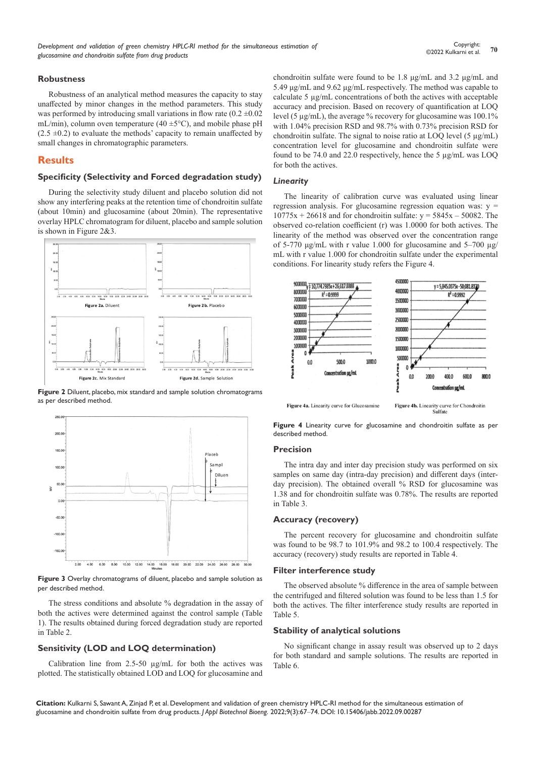#### **Robustness**

Robustness of an analytical method measures the capacity to stay unaffected by minor changes in the method parameters. This study was performed by introducing small variations in flow rate  $(0.2 \pm 0.02)$ mL/min), column oven temperature (40  $\pm$ 5°C), and mobile phase pH  $(2.5 \pm 0.2)$  to evaluate the methods' capacity to remain unaffected by small changes in chromatographic parameters.

# **Results**

# **Specificity (Selectivity and Forced degradation study)**

During the selectivity study diluent and placebo solution did not show any interfering peaks at the retention time of chondroitin sulfate (about 10min) and glucosamine (about 20min). The representative overlay HPLC chromatogram for diluent, placebo and sample solution is shown in Figure 2&3.



**Figure 2** Diluent, placebo, mix standard and sample solution chromatograms as per described method.



**Figure 3** Overlay chromatograms of diluent, placebo and sample solution as per described method.

The stress conditions and absolute % degradation in the assay of both the actives were determined against the control sample (Table 1). The results obtained during forced degradation study are reported in Table 2.

# **Sensitivity (LOD and LOQ determination)**

Calibration line from 2.5-50 µg/mL for both the actives was plotted. The statistically obtained LOD and LOQ for glucosamine and chondroitin sulfate were found to be 1.8 μg/mL and 3.2 μg/mL and 5.49 μg/mL and 9.62 μg/mL respectively. The method was capable to calculate 5 µg/mL concentrations of both the actives with acceptable accuracy and precision. Based on recovery of quantification at LOQ level (5 µg/mL), the average % recovery for glucosamine was 100.1% with 1.04% precision RSD and 98.7% with 0.73% precision RSD for chondroitin sulfate. The signal to noise ratio at LOQ level  $(5 \mu g/mL)$ concentration level for glucosamine and chondroitin sulfate were found to be 74.0 and 22.0 respectively, hence the 5 µg/mL was LOQ for both the actives.

#### *Linearity*

The linearity of calibration curve was evaluated using linear regression analysis. For glucosamine regression equation was:  $y =$  $10775x + 26618$  and for chondroitin sulfate:  $y = 5845x - 50082$ . The observed co-relation coefficient (r) was 1.0000 for both actives. The linearity of the method was observed over the concentration range of 5-770 μg/mL with r value 1.000 for glucosamine and 5–700 µg/ mL with r value 1.000 for chondroitin sulfate under the experimental conditions. For linearity study refers the Figure 4.



**Figure 4** Linearity curve for glucosamine and chondroitin sulfate as per described method.

#### **Precision**

The intra day and inter day precision study was performed on six samples on same day (intra-day precision) and different days (interday precision). The obtained overall % RSD for glucosamine was 1.38 and for chondroitin sulfate was 0.78%. The results are reported in Table 3.

#### **Accuracy (recovery)**

The percent recovery for glucosamine and chondroitin sulfate was found to be 98.7 to 101.9% and 98.2 to 100.4 respectively. The accuracy (recovery) study results are reported in Table 4.

# **Filter interference study**

The observed absolute % difference in the area of sample between the centrifuged and filtered solution was found to be less than 1.5 for both the actives. The filter interference study results are reported in Table 5.

#### **Stability of analytical solutions**

No significant change in assay result was observed up to 2 days for both standard and sample solutions. The results are reported in Table 6.

**Citation:** Kulkarni S, Sawant A, Zinjad P, et al. Development and validation of green chemistry HPLC-RI method for the simultaneous estimation of glucosamine and chondroitin sulfate from drug products. *J Appl Biotechnol Bioeng.* 2022;9(3):67‒74. DOI: [10.15406/jabb.2022.09.00287](https://doi.org/10.15406/jabb.2022.09.00287)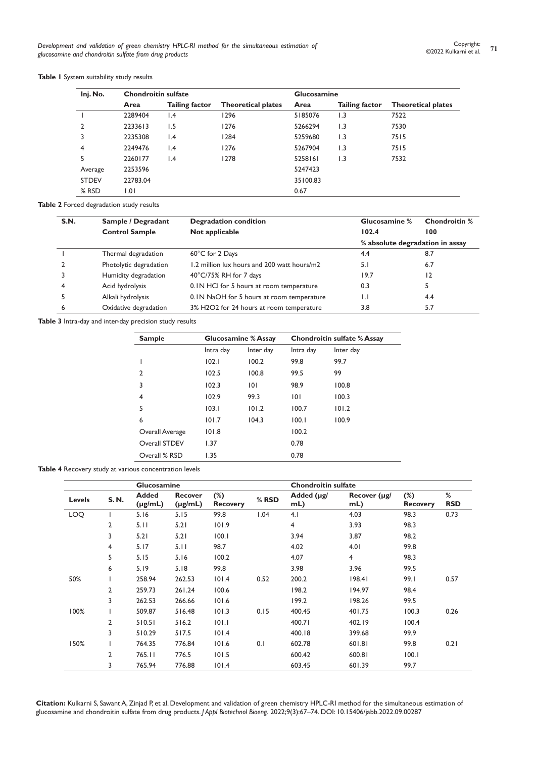**Table 1** System suitability study results

| Inj. No.     |          | <b>Chondroitin sulfate</b> |                           |          | <b>Glucosamine</b> |                           |  |  |
|--------------|----------|----------------------------|---------------------------|----------|--------------------|---------------------------|--|--|
|              | Area     | Tailing factor             | <b>Theoretical plates</b> | Area     | Tailing factor     | <b>Theoretical plates</b> |  |  |
|              | 2289404  | $\mathsf{I}$ .4            | 1296                      | 5185076  | 1.3                | 7522                      |  |  |
|              | 2233613  | 1.5                        | 1276                      | 5266294  | $\overline{1.3}$   | 7530                      |  |  |
| 3            | 2235308  | $\mathsf{I}$ .4            | 1284                      | 5259680  | 1.3                | 7515                      |  |  |
| 4            | 2249476  | $\mathsf{I}$ .4            | 1276                      | 5267904  | 1.3                | 7515                      |  |  |
| 5            | 2260177  | $\mathsf{I}$ .4            | 1278                      | 5258161  | $\overline{1.3}$   | 7532                      |  |  |
| Average      | 2253596  |                            |                           | 5247423  |                    |                           |  |  |
| <b>STDEV</b> | 22783.04 |                            |                           | 35100.83 |                    |                           |  |  |
| % RSD        | 1.01     |                            |                           | 0.67     |                    |                           |  |  |

**Table 2** Forced degradation study results

| <b>S.N.</b> | Sample / Degradant     | <b>Degradation condition</b>                | Glucosamine %                   | <b>Chondroitin %</b> |  |
|-------------|------------------------|---------------------------------------------|---------------------------------|----------------------|--|
|             | <b>Control Sample</b>  | Not applicable                              | 102.4                           | 100                  |  |
|             |                        |                                             | % absolute degradation in assay |                      |  |
|             | Thermal degradation    | 60°C for 2 Days                             | 4.4                             | 8.7                  |  |
|             | Photolytic degradation | 1.2 million lux hours and 200 watt hours/m2 | 5.1                             | 6.7                  |  |
|             | Humidity degradation   | 40°C/75% RH for 7 days                      | 19.7                            | 12                   |  |
|             | Acid hydrolysis        | 0. IN HCI for 5 hours at room temperature   | 0.3                             | 5                    |  |
|             | Alkali hydrolysis      | 0. IN NaOH for 5 hours at room temperature  | IJ                              | 4.4                  |  |
| 6           | Oxidative degradation  | 3% H2O2 for 24 hours at room temperature    | 3.8                             | 5.7                  |  |

**Table 3** Intra-day and inter-day precision study results

| <b>Sample</b>   |           | <b>Glucosamine % Assay</b> |           | <b>Chondroitin sulfate % Assay</b> |  |  |
|-----------------|-----------|----------------------------|-----------|------------------------------------|--|--|
|                 | Intra day | Inter day                  | Intra day | Inter day                          |  |  |
|                 | 102.1     | 100.2                      | 99.8      | 99.7                               |  |  |
| 2               | 102.5     | 100.8                      | 99.5      | 99                                 |  |  |
| 3               | 102.3     | 0                          | 98.9      | 100.8                              |  |  |
| 4               | 102.9     | 99.3                       | 101       | 100.3                              |  |  |
| 5               | 103.1     | 101.2                      | 100.7     | 101.2                              |  |  |
| 6               | 101.7     | 104.3                      | 100.1     | 100.9                              |  |  |
| Overall Average | 101.8     |                            | 100.2     |                                    |  |  |
| Overall STDEV   | 1.37      |                            | 0.78      |                                    |  |  |
| Overall % RSD   | 1.35      |                            | 0.78      |                                    |  |  |

**Table 4** Recovery study at various concentration levels

|            |                | <b>Glucosamine</b>           |                                |                           | <b>Chondroitin sulfate</b> |                      |                        |                           |                 |
|------------|----------------|------------------------------|--------------------------------|---------------------------|----------------------------|----------------------|------------------------|---------------------------|-----------------|
| Levels     | <b>S.N.</b>    | <b>Added</b><br>$(\mu g/mL)$ | <b>Recover</b><br>$(\mu g/mL)$ | $(\%)$<br><b>Recovery</b> | $%$ RSD                    | Added (µg/<br>$mL$ ) | Recover (µg/<br>$mL$ ) | $(\%)$<br><b>Recovery</b> | %<br><b>RSD</b> |
| <b>LOQ</b> |                | 5.16                         | 5.15                           | 99.8                      | 1.04                       | 4.1                  | 4.03                   | 98.3                      | 0.73            |
|            | 2              | 5.11                         | 5.21                           | 101.9                     |                            | 4                    | 3.93                   | 98.3                      |                 |
|            | 3              | 5.21                         | 5.21                           | 100.1                     |                            | 3.94                 | 3.87                   | 98.2                      |                 |
|            | 4              | 5.17                         | 5.11                           | 98.7                      |                            | 4.02                 | 4.01                   | 99.8                      |                 |
|            | 5              | 5.15                         | 5.16                           | 100.2                     |                            | 4.07                 | $\overline{4}$         | 98.3                      |                 |
|            | 6              | 5.19                         | 5.18                           | 99.8                      |                            | 3.98                 | 3.96                   | 99.5                      |                 |
| 50%        |                | 258.94                       | 262.53                         | 101.4                     | 0.52                       | 200.2                | 198.41                 | 99.I                      | 0.57            |
|            | $\overline{2}$ | 259.73                       | 261.24                         | 100.6                     |                            | 198.2                | 194.97                 | 98.4                      |                 |
|            | 3              | 262.53                       | 266.66                         | 101.6                     |                            | 199.2                | 198.26                 | 99.5                      |                 |
| 100%       |                | 509.87                       | 516.48                         | 101.3                     | 0.15                       | 400.45               | 401.75                 | 100.3                     | 0.26            |
|            | $\overline{2}$ | 510.51                       | 516.2                          | 101.1                     |                            | 400.71               | 402.19                 | 100.4                     |                 |
|            | 3              | 510.29                       | 517.5                          | 101.4                     |                            | 400.18               | 399.68                 | 99.9                      |                 |
| 150%       |                | 764.35                       | 776.84                         | 101.6                     | 0.1                        | 602.78               | 601.81                 | 99.8                      | 0.21            |
|            | 2              | 765.11                       | 776.5                          | 101.5                     |                            | 600.42               | 600.81                 | 100.1                     |                 |
|            | 3              | 765.94                       | 776.88                         | 101.4                     |                            | 603.45               | 601.39                 | 99.7                      |                 |

**Citation:** Kulkarni S, Sawant A, Zinjad P, et al. Development and validation of green chemistry HPLC-RI method for the simultaneous estimation of glucosamine and chondroitin sulfate from drug products. *J Appl Biotechnol Bioeng.* 2022;9(3):67‒74. DOI: [10.15406/jabb.2022.09.00287](https://doi.org/10.15406/jabb.2022.09.00287)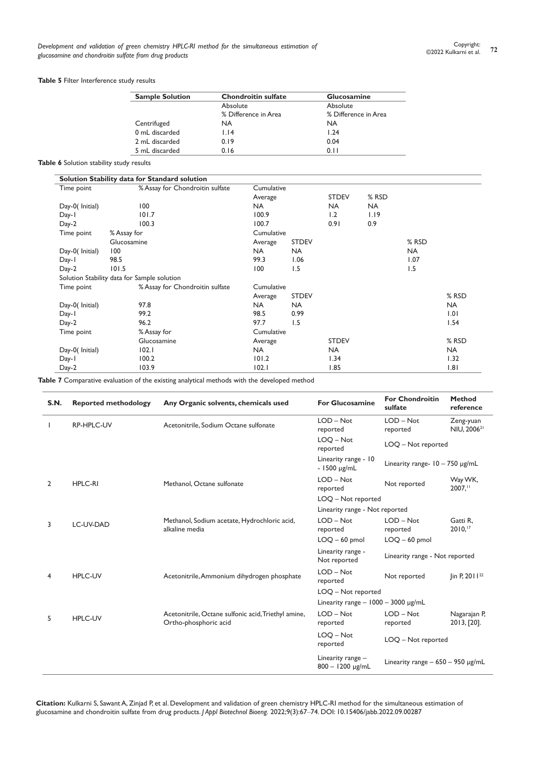**Table 5** Filter Interference study results

| <b>Sample Solution</b> | <b>Chondroitin sulfate</b> | Glucosamine          |
|------------------------|----------------------------|----------------------|
|                        | Absolute                   | Absolute             |
|                        | % Difference in Area       | % Difference in Area |
| Centrifuged            | <b>NA</b>                  | NA.                  |
| 0 mL discarded         | 1.14                       | 1.24                 |
| 2 mL discarded         | 0.19                       | 0.04                 |
| 5 mL discarded         | 0.16                       | 011                  |

**Table 6** Solution stability study results

|                | Solution Stability data for Standard solution |            |              |              |           |           |           |
|----------------|-----------------------------------------------|------------|--------------|--------------|-----------|-----------|-----------|
| Time point     | % Assay for Chondroitin sulfate               |            | Cumulative   |              |           |           |           |
|                |                                               | Average    |              | <b>STDEV</b> | % RSD     |           |           |
| Day-0(Initial) | 100                                           | NA.        |              | <b>NA</b>    | <b>NA</b> |           |           |
| Day-1          | 101.7                                         | 100.9      |              | 1.2          | 1.19      |           |           |
| $Day-2$        | 100.3                                         | 100.7      |              | 0.91         | 0.9       |           |           |
| Time point     | % Assay for                                   | Cumulative |              |              |           |           |           |
|                | Glucosamine                                   | Average    | <b>STDEV</b> |              |           | % RSD     |           |
| Day-0(Initial) | 100                                           | <b>NA</b>  | <b>NA</b>    |              |           | <b>NA</b> |           |
| Day-1          | 98.5                                          | 99.3       | 1.06         |              |           | 1.07      |           |
| Day-2          | 101.5                                         | 100        | 1.5          |              |           | 1.5       |           |
|                | Solution Stability data for Sample solution   |            |              |              |           |           |           |
| Time point     | % Assay for Chondroitin sulfate               | Cumulative |              |              |           |           |           |
|                |                                               | Average    | <b>STDEV</b> |              |           |           | % RSD     |
| Day-0(Initial) | 97.8                                          | <b>NA</b>  | <b>NA</b>    |              |           |           | NA.       |
| Day-1          | 99.2                                          | 98.5       | 0.99         |              |           |           | 1.01      |
| Day-2          | 96.2                                          | 97.7       | 1.5          |              |           |           | 1.54      |
| Time point     | % Assay for                                   | Cumulative |              |              |           |           |           |
|                | Glucosamine                                   | Average    |              | <b>STDEV</b> |           |           | % RSD     |
| Day-0(Initial) | 102.1                                         | <b>NA</b>  |              | <b>NA</b>    |           |           | <b>NA</b> |
| Day-1          | 100.2                                         | 101.2      |              | 1.34         |           |           | 1.32      |
| Day-2          | 103.9                                         | 102.1      |              | 1.85         |           |           | 1.81      |

**Table 7** Comparative evaluation of the existing analytical methods with the developed method

| S.N.           | <b>Reported methodology</b> | Any Organic solvents, chemicals used                                         | <b>For Glucosamine</b>                    | <b>For Chondroitin</b><br>sulfate       | <b>Method</b><br>reference           |
|----------------|-----------------------------|------------------------------------------------------------------------------|-------------------------------------------|-----------------------------------------|--------------------------------------|
| 1              | RP-HPLC-UV                  | Acetonitrile, Sodium Octane sulfonate                                        | $LOD - Not$<br>reported                   | $LOD - Not$<br>reported                 | Zeng-yuan<br>NIU, 2006 <sup>21</sup> |
|                |                             |                                                                              | $LOQ - Not$<br>reported                   | LOQ - Not reported                      |                                      |
|                |                             |                                                                              | Linearity range - 10<br>$-1500$ µg/mL     | Linearity range- $10 - 750$ $\mu$ g/mL  |                                      |
| $\overline{2}$ | <b>HPLC-RI</b>              | Methanol, Octane sulfonate                                                   | $LOD - Not$<br>reported                   | Not reported                            | Way WK,<br>2007,                     |
|                |                             |                                                                              | LOQ - Not reported                        |                                         |                                      |
|                |                             |                                                                              | Linearity range - Not reported            |                                         |                                      |
| 3              | LC-UV-DAD                   | Methanol, Sodium acetate, Hydrochloric acid,<br>alkaline media               | $LOD - Not$<br>reported                   | $LOD - Not$<br>reported                 | Gatti R.<br>2010. <sup>17</sup>      |
|                |                             |                                                                              | $LOQ - 60$ pmol                           | $LOQ - 60$ pmol                         |                                      |
|                |                             |                                                                              | Linearity range -<br>Not reported         | Linearity range - Not reported          |                                      |
| 4              | <b>HPLC-UV</b>              | Acetonitrile, Ammonium dihydrogen phosphate                                  | $LOD - Not$<br>reported                   | Not reported                            | $\ln P$ , 2011 <sup>22</sup>         |
|                |                             |                                                                              | LOQ - Not reported                        |                                         |                                      |
|                |                             |                                                                              | Linearity range $-1000 - 3000$ $\mu$ g/mL |                                         |                                      |
| 5              | <b>HPLC-UV</b>              | Acetonitrile, Octane sulfonic acid, Triethyl amine,<br>Ortho-phosphoric acid | $LOD - Not$<br>reported                   | $LOD - Not$<br>reported                 | Nagarajan P,<br>2013, [20].          |
|                |                             |                                                                              | $LOQ - Not$<br>reported                   | LOQ - Not reported                      |                                      |
|                |                             |                                                                              | Linearity range -<br>$800 - 1200$ µg/mL   | Linearity range $-650 - 950$ $\mu$ g/mL |                                      |

**Citation:** Kulkarni S, Sawant A, Zinjad P, et al. Development and validation of green chemistry HPLC-RI method for the simultaneous estimation of glucosamine and chondroitin sulfate from drug products. *J Appl Biotechnol Bioeng.* 2022;9(3):67‒74. DOI: [10.15406/jabb.2022.09.00287](https://doi.org/10.15406/jabb.2022.09.00287)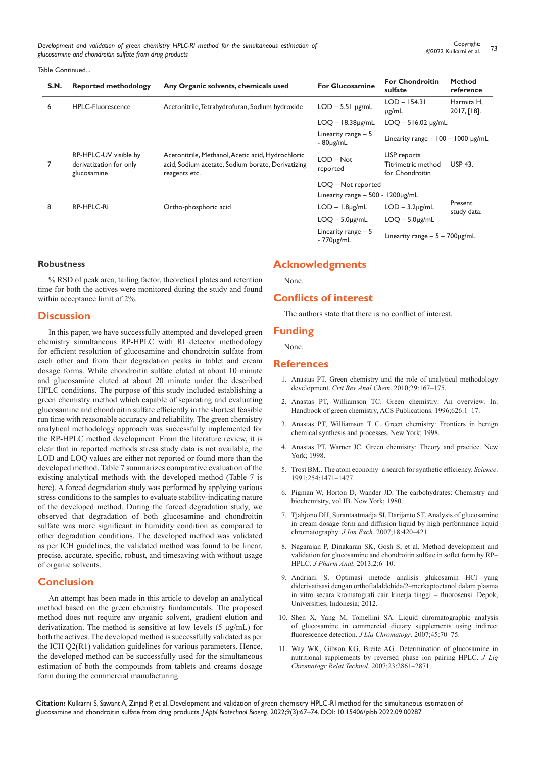Table Continued...

| S.N. | <b>Reported methodology</b>                                     | Any Organic solvents, chemicals used                                                                                    | <b>For Glucosamine</b>                 | <b>For Chondroitin</b><br>sulfate                    | <b>Method</b><br>reference               |
|------|-----------------------------------------------------------------|-------------------------------------------------------------------------------------------------------------------------|----------------------------------------|------------------------------------------------------|------------------------------------------|
| 6    | <b>HPLC-Fluorescence</b>                                        | Acetonitrile, Tetrahydrofuran, Sodium hydroxide                                                                         | $LOD - 5.51$ µg/mL                     | $LOD - 154.31$<br>$\mu$ g/mL                         | Harmita H.<br>$2017,$ [18].              |
|      |                                                                 |                                                                                                                         | $LOQ - 18.38 \mu g/mL$                 | $LOQ - 516.02$ µg/mL                                 |                                          |
|      |                                                                 |                                                                                                                         | Linearity range $-5$<br>$-80\mu g/mL$  |                                                      | Linearity range $-100 - 1000$ $\mu$ g/mL |
| 7    | RP-HPLC-UV visible by<br>derivatization for only<br>glucosamine | Acetonitrile, Methanol, Acetic acid, Hydrochloric<br>acid, Sodium acetate, Sodium borate, Derivatizing<br>reagents etc. | $LOD - Not$<br>reported                | USP reports<br>Titrimetric method<br>for Chondroitin | <b>USP 43.</b>                           |
|      |                                                                 |                                                                                                                         | LOQ - Not reported                     |                                                      |                                          |
|      |                                                                 |                                                                                                                         | Linearity range $-500 - 1200 \mu g/mL$ |                                                      |                                          |
| 8    | RP-HPLC-RI                                                      | Ortho-phosphoric acid                                                                                                   | $LOD - 1.8\mu g/mL$                    | $LOD - 3.2 \mu g/mL$                                 | Present<br>study data.                   |
|      |                                                                 |                                                                                                                         | $LOQ - 5.0 \mu g/mL$                   | $LOQ - 5.0 \mu g/mL$                                 |                                          |
|      |                                                                 |                                                                                                                         | Linearity range $-5$<br>- 770µg/mL     | Linearity range $-5 - 700 \mu g/mL$                  |                                          |

#### **Robustness**

% RSD of peak area, tailing factor, theoretical plates and retention time for both the actives were monitored during the study and found within acceptance limit of 2%.

# **Discussion**

In this paper, we have successfully attempted and developed green chemistry simultaneous RP-HPLC with RI detector methodology for efficient resolution of glucosamine and chondroitin sulfate from each other and from their degradation peaks in tablet and cream dosage forms. While chondroitin sulfate eluted at about 10 minute and glucosamine eluted at about 20 minute under the described HPLC conditions. The purpose of this study included establishing a green chemistry method which capable of separating and evaluating glucosamine and chondroitin sulfate efficiently in the shortest feasible run time with reasonable accuracy and reliability. The green chemistry analytical methodology approach was successfully implemented for the RP-HPLC method development. From the literature review, it is clear that in reported methods stress study data is not available, the LOD and LOQ values are either not reported or found more than the developed method. Table 7 summarizes comparative evaluation of the existing analytical methods with the developed method (Table 7 is here). A forced degradation study was performed by applying various stress conditions to the samples to evaluate stability-indicating nature of the developed method. During the forced degradation study, we observed that degradation of both glucosamine and chondroitin sulfate was more significant in humidity condition as compared to other degradation conditions. The developed method was validated as per ICH guidelines, the validated method was found to be linear, precise, accurate, specific, robust, and timesaving with without usage of organic solvents.

# **Conclusion**

An attempt has been made in this article to develop an analytical method based on the green chemistry fundamentals. The proposed method does not require any organic solvent, gradient elution and derivatization. The method is sensitive at low levels (5 µg/mL) for both the actives. The developed method is successfully validated as per the ICH Q2(R1) validation guidelines for various parameters. Hence, the developed method can be successfully used for the simultaneous estimation of both the compounds from tablets and creams dosage form during the commercial manufacturing.

# **Acknowledgments**

None.

# **Conflicts of interest**

The authors state that there is no conflict of interest.

#### **Funding**

None.

#### **References**

- 1. [Anastas PT. Green chemistry and the role of analytical methodology](https://www.tandfonline.com/doi/abs/10.1080/10408349891199356)  development. *[Crit Rev Anal Chem](https://www.tandfonline.com/doi/abs/10.1080/10408349891199356)*. 2010;29:167–175.
- 2. [Anastas PT, Williamson TC. Green chemistry: An overview. In:](https://pubs.acs.org/doi/abs/10.1021/bk-1996-0626.ch001)  [Handbook of green chemistry, ACS Publications. 1996;626:1–17.](https://pubs.acs.org/doi/abs/10.1021/bk-1996-0626.ch001)
- 3. [Anastas PT, Williamson T C. Green chemistry: Frontiers in benign](https://www.worldcat.org/title/green-chemistry-frontiers-in-benign-chemical-syntheses-and-processes/oclc/38573118)  [chemical synthesis and processes. New York; 1998.](https://www.worldcat.org/title/green-chemistry-frontiers-in-benign-chemical-syntheses-and-processes/oclc/38573118)
- 4. [Anastas PT, Warner JC. Green chemistry: Theory and practice. New](https://www.worldcat.org/title/green-chemistry-theory-and-practice/oclc/39523207)  [York; 1998.](https://www.worldcat.org/title/green-chemistry-theory-and-practice/oclc/39523207)
- 5. [Trost BM.. The atom economy–a search for synthetic efficiency.](https://pubmed.ncbi.nlm.nih.gov/1962206/) *Science*. [1991;254:1471–1477.](https://pubmed.ncbi.nlm.nih.gov/1962206/)
- 6. [Pigman W, Horton D, Wander JD. The carbohydrates: Chemistry and](https://www.elsevier.com/books/advances-in-carbohydrate-chemistry-and-biochemistry/baker/978-0-12-820995-0)  [biochemistry, vol IB. New York; 1980.](https://www.elsevier.com/books/advances-in-carbohydrate-chemistry-and-biochemistry/baker/978-0-12-820995-0)
- 7. [Tjahjono DH, Surantaatmadja SI, Darijanto ST. Analysis of glucosamine](https://www.jstage.jst.go.jp/article/jaie1990/18/4/18_4_420/_article)  [in cream dosage form and diffusion liquid by high performance liquid](https://www.jstage.jst.go.jp/article/jaie1990/18/4/18_4_420/_article)  chromatography*. J Ion Exch.* [2007;18:420–421.](https://www.jstage.jst.go.jp/article/jaie1990/18/4/18_4_420/_article)
- 8. Nagarajan P, Dinakaran SK, Gosh S, et al. Method development and validation for glucosamine and chondroitin sulfate in soflet form by RP– HPLC. *J Pharm Anal.* 2013;2:6–10.
- 9. [Andriani S. Optimasi metode analisis glukosamin HCl yang](https://lib.ui.ac.id/file?file=pdf/abstrak/id_abstrak-20181188.pdf)  [diderivatisasi dengan orthoftalaldehida/2–merkaptoetanol dalam plasma](https://lib.ui.ac.id/file?file=pdf/abstrak/id_abstrak-20181188.pdf)  [in vitro secara kromatografi cair kinerja tinggi – fluorosensi. Depok,](https://lib.ui.ac.id/file?file=pdf/abstrak/id_abstrak-20181188.pdf)  [Universities, Indonesia; 2012.](https://lib.ui.ac.id/file?file=pdf/abstrak/id_abstrak-20181188.pdf)
- 10. [Shen X, Yang M, Tomellini SA. Liquid chromatographic analysis](https://pubmed.ncbi.nlm.nih.gov/17425135/)  [of glucosamine in commercial dietary supplements using indirect](https://pubmed.ncbi.nlm.nih.gov/17425135/)  [fluorescence detection.](https://pubmed.ncbi.nlm.nih.gov/17425135/) *J Liq Chromatogr*. 2007;45:70–75.
- 11. [Way WK, Gibson KG, Breite AG. Determination of glucosamine in](https://in.booksc.eu/book/18560239/00fa78)  [nutritional supplements by reversed–phase ion–pairing HPLC.](https://in.booksc.eu/book/18560239/00fa78) *J Liq [Chromatogr Relat Technol](https://in.booksc.eu/book/18560239/00fa78)*. 2007;23:2861–2871.

**Citation:** Kulkarni S, Sawant A, Zinjad P, et al. Development and validation of green chemistry HPLC-RI method for the simultaneous estimation of glucosamine and chondroitin sulfate from drug products. *J Appl Biotechnol Bioeng.* 2022;9(3):67-74. DOI: [10.15406/jabb.2022.09.00287](https://doi.org/10.15406/jabb.2022.09.00287)